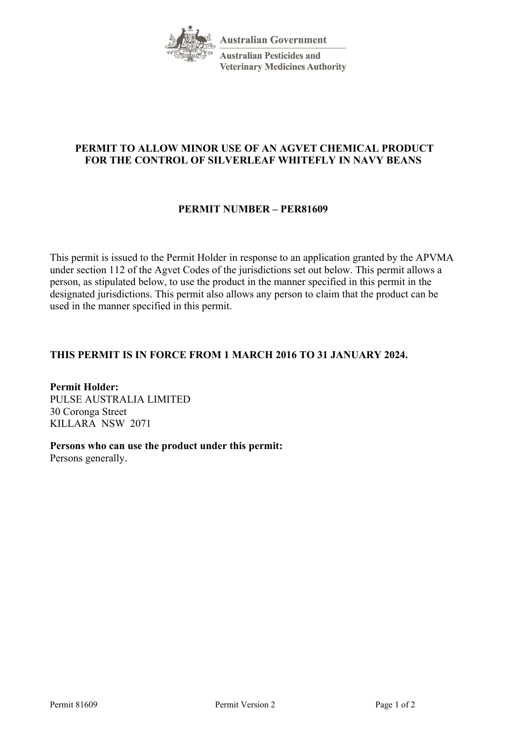

# **PERMIT TO ALLOW MINOR USE OF AN AGVET CHEMICAL PRODUCT FOR THE CONTROL OF SILVERLEAF WHITEFLY IN NAVY BEANS**

## **PERMIT NUMBER – PER81609**

This permit is issued to the Permit Holder in response to an application granted by the APVMA under section 112 of the Agvet Codes of the jurisdictions set out below. This permit allows a person, as stipulated below, to use the product in the manner specified in this permit in the designated jurisdictions. This permit also allows any person to claim that the product can be used in the manner specified in this permit.

## **THIS PERMIT IS IN FORCE FROM 1 MARCH 2016 TO 31 JANUARY 2024.**

**Permit Holder:** PULSE AUSTRALIA LIMITED 30 Coronga Street KILLARA NSW 2071

**Persons who can use the product under this permit:** Persons generally.